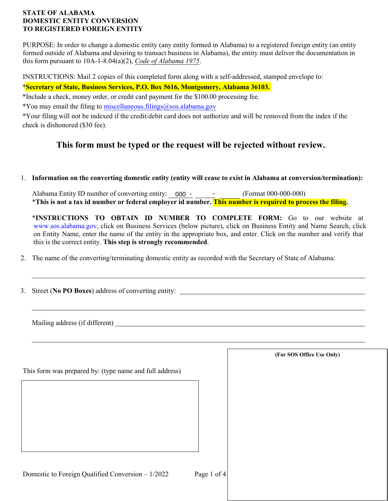## **STATE OF ALABAMA DOMESTIC ENTITY CONVERSION TO REGISTERED FOREIGN ENTITY**

PURPOSE: In order to change a domestic entity (any entity formed in Alabama) to a registered foreign entity (an entity formed outside of Alabama and desiring to transact business in Alabama), the entity must deliver the documentation in this form pursuant to 10A-1-8.04(a)(2), *Code of Alabama 1975*.

INSTRUCTIONS: Mail 2 copies of this completed form along with a self-addressed, stamped envelope to:

# \***Secretary of State, Business Services, P.O. Box 5616, Montgomery, Alabama 36103.**

\*Include a check, money order, or credit card payment for the \$100.00 processing fee.

\*You may email the filing to miscellaneous.filings@sos.alabama.gov

\*Your filing will not be indexed if the credit/debit card does not authorize and will be removed from the index if the check is dishonored (\$30 fee).

# **This form must be typed or the request will be rejected without review.**.

## 1. **Information on the converting domestic entity (entity will cease to exist in Alabama at conversion/termination):**

Alabama Entity ID number of converting entity: 000 - - (Format 000-000-000) \***This is not a tax id number or federal employer id number. This number is required to process the filing.**

\***INSTRUCTIONS TO OBTAIN ID NUMBER TO COMPLETE FORM:** Go to our website at [www.sos.alabama.gov](http://www.sos.alabama.gov/), click on Business Services (below picture), click on Business Entity and Name Search, click on Entity Name, enter the name of the entity in the appropriate box, and enter. Click on the number and verify that this is the correct entity. **This step is strongly recommended**.

2. The name of the converting/terminating domestic entity as recorded with the Secretary of State of Alabama:

3. Street (**No PO Boxes**) address of converting entity:

Mailing address (if different)

This form was prepared by: (type name and full address)

**(For SOS Office Use Only)**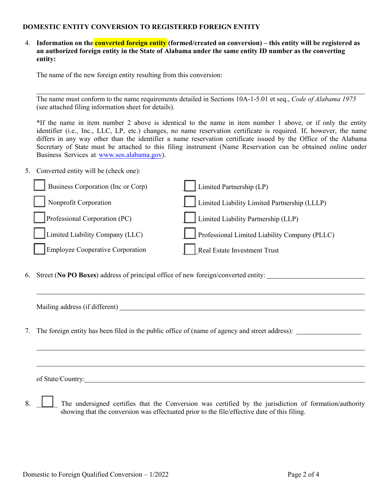#### **DOMESTIC ENTITY CONVERSION TO REGISTERED FOREIGN ENTITY**

4. **Information on the converted foreign entity (formed/created on conversion) – this entity will be registered as an authorized foreign entity in the State of Alabama under the same entity ID number as the converting entity:**

The name of the new foreign entity resulting from this conversion:

The name must conform to the name requirements detailed in Sections 10A-1-5.01 et seq., *Code of Alabama 1975* (see attached filing information sheet for details).

\*If the name in item number 2 above is identical to the name in item number 1 above, or if only the entity identifier (i.e., Inc., LLC, LP, etc.) changes, no name reservation certificate is required. If, however, the name differs in any way other than the identifier a name reservation certificate issued by the Office of the Alabama Secretary of State must be attached to this filing instrument (Name Reservation can be obtained online under [Business Services at](http://www.sos.alabama.gov/) www.sos.alabama.gov).

5. Converted entity will be (check one):

| Business Corporation (Inc or Corp) | Limited Partnership (LP)                      |
|------------------------------------|-----------------------------------------------|
| Nonprofit Corporation              | Limited Liability Limited Partnership (LLLP)  |
| Professional Corporation (PC)      | Limited Liability Partnership (LLP)           |
| Limited Liability Company (LLC)    | Professional Limited Liability Company (PLLC) |
| Employee Cooperative Corporation   | Real Estate Investment Trust                  |

6. Street (**No PO Boxes**) address of principal office of new foreign/converted entity:

| Mailing address (if different) |  |
|--------------------------------|--|
|                                |  |

7. The foreign entity has been filed in the public office of (name of agency and street address):

of State/Country:

8. The undersigned certifies that the Conversion was certified by the jurisdiction of formation/authority showing that the conversion was effectuated prior to the file/effective date of this filing.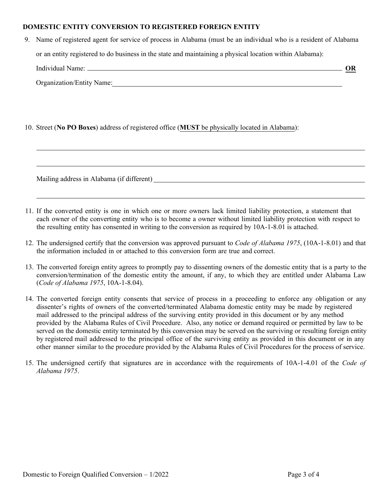#### **DOMESTIC ENTITY CONVERSION TO REGISTERED FOREIGN ENTITY**

| 9. Name of registered agent for service of process in Alabama (must be an individual who is a resident of Alabama                                                                                                              |    |  |
|--------------------------------------------------------------------------------------------------------------------------------------------------------------------------------------------------------------------------------|----|--|
| or an entity registered to do business in the state and maintaining a physical location within Alabama):                                                                                                                       |    |  |
| Individual Name: Name and Seconds and Seconds and Seconds and Seconds and Seconds and Seconds and Seconds and Seconds and Seconds and Seconds and Seconds and Seconds and Seconds and Seconds and Seconds and Seconds and Seco | OR |  |
| Organization/Entity Name:                                                                                                                                                                                                      |    |  |
|                                                                                                                                                                                                                                |    |  |
|                                                                                                                                                                                                                                |    |  |
|                                                                                                                                                                                                                                |    |  |

## 10. Street (**No PO Boxes**) address of registered office (**MUST** be physically located in Alabama):

Mailing address in Alabama (if different)

- 11. If the converted entity is one in which one or more owners lack limited liability protection, a statement that each owner of the converting entity who is to become a owner without limited liability protection with respect to the resulting entity has consented in writing to the conversion as required by 10A-1-8.01 is attached.
- 12. The undersigned certify that the conversion was approved pursuant to *Code of Alabama 1975*, (10A-1-8.01) and that the information included in or attached to this conversion form are true and correct.
- 13. The converted foreign entity agrees to promptly pay to dissenting owners of the domestic entity that is a party to the conversion/termination of the domestic entity the amount, if any, to which they are entitled under Alabama Law (*Code of Alabama 1975*, 10A-1-8.04).
- 14. The converted foreign entity consents that service of process in a proceeding to enforce any obligation or any dissenter's rights of owners of the converted/terminated Alabama domestic entity may be made by registered mail addressed to the principal address of the surviving entity provided in this document or by any method provided by the Alabama Rules of Civil Procedure. Also, any notice or demand required or permitted by law to be served on the domestic entity terminated by this conversion may be served on the surviving or resulting foreign entity by registered mail addressed to the principal office of the surviving entity as provided in this document or in any other manner similar to the procedure provided by the Alabama Rules of Civil Procedures for the process of service.
- 15. The undersigned certify that signatures are in accordance with the requirements of 10A-1-4.01 of the *Code of Alabama 1975*.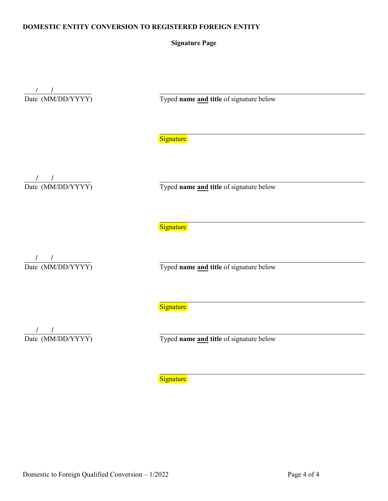#### **DOMESTIC ENTITY CONVERSION TO REGISTERED FOREIGN ENTITY**

#### **Signature Page**

 $\frac{1}{\text{Date (MM/DD/YYYY)}}$ 

Typed **name** and title of signature below

**Signature** 

 $\frac{1}{\text{Date (MM/DD/YYYY)}}$ 

Typed name and title of signature below

**Signature** 

 $\frac{1}{\text{Date (MM/DD/YYYY)}}$ 

Typed name and title of signature below

**Signature** 

 $\frac{1}{\text{Date (MM/DD/YYYY)}}$ 

Typed **name** and title of signature below

**Signature**